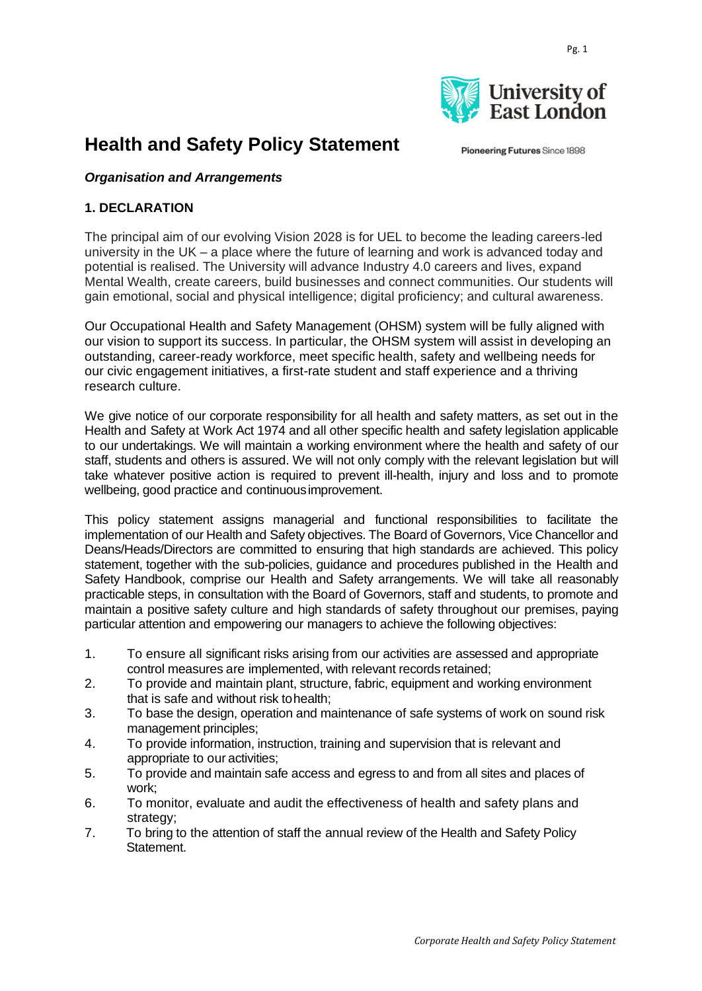



Pioneering Futures Since 1898

# **Health and Safety Policy Statement**

# *Organisation and Arrangements*

# **1. DECLARATION**

The principal aim of our evolving Vision 2028 is for UEL to become the leading careers-led university in the UK – a place where the future of learning and work is advanced today and potential is realised. The University will advance Industry 4.0 careers and lives, expand Mental Wealth, create careers, build businesses and connect communities. Our students will gain emotional, social and physical intelligence; digital proficiency; and cultural awareness.

Our Occupational Health and Safety Management (OHSM) system will be fully aligned with our vision to support its success. In particular, the OHSM system will assist in developing an outstanding, career-ready workforce, meet specific health, safety and wellbeing needs for our civic engagement initiatives, a first-rate student and staff experience and a thriving research culture.

We give notice of our corporate responsibility for all health and safety matters, as set out in the Health and Safety at Work Act 1974 and all other specific health and safety legislation applicable to our undertakings. We will maintain a working environment where the health and safety of our staff, students and others is assured. We will not only comply with the relevant legislation but will take whatever positive action is required to prevent ill-health, injury and loss and to promote wellbeing, good practice and continuousimprovement.

This policy statement assigns managerial and functional responsibilities to facilitate the implementation of our Health and Safety objectives. The Board of Governors, Vice Chancellor and Deans/Heads/Directors are committed to ensuring that high standards are achieved. This policy statement, together with the sub-policies, guidance and procedures published in the Health and Safety Handbook, comprise our Health and Safety arrangements. We will take all reasonably practicable steps, in consultation with the Board of Governors, staff and students, to promote and maintain a positive safety culture and high standards of safety throughout our premises, paying particular attention and empowering our managers to achieve the following objectives:

- 1. To ensure all significant risks arising from our activities are assessed and appropriate control measures are implemented, with relevant records retained;
- 2. To provide and maintain plant, structure, fabric, equipment and working environment that is safe and without risk tohealth;
- 3. To base the design, operation and maintenance of safe systems of work on sound risk management principles;
- 4. To provide information, instruction, training and supervision that is relevant and appropriate to our activities;
- 5. To provide and maintain safe access and egress to and from all sites and places of work;
- 6. To monitor, evaluate and audit the effectiveness of health and safety plans and strategy;
- 7. To bring to the attention of staff the annual review of the Health and Safety Policy Statement.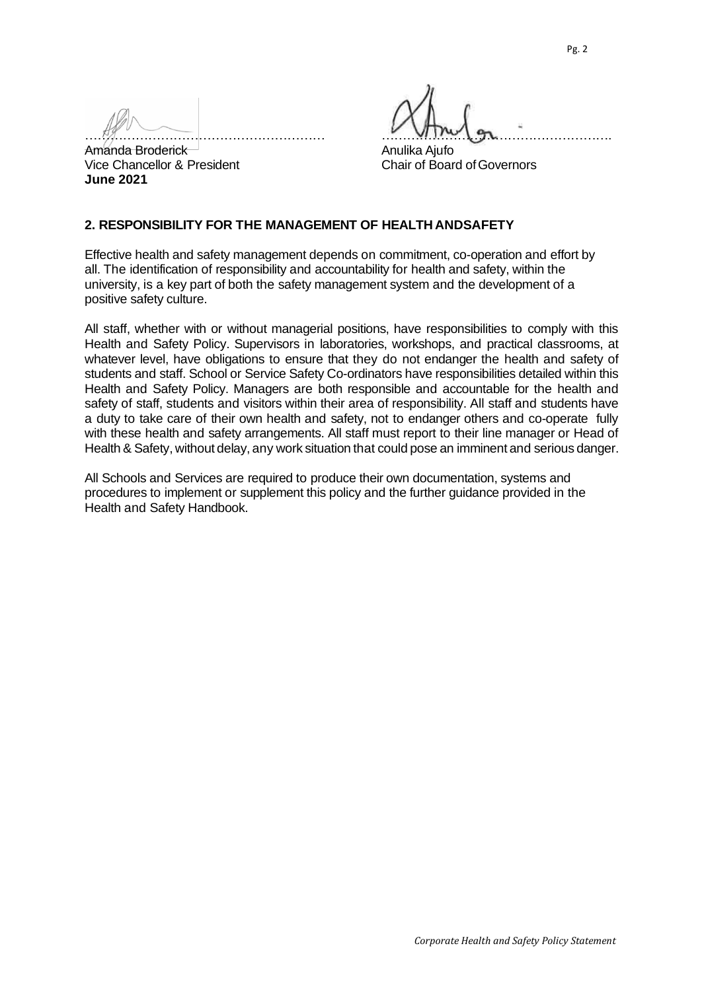$\mathbb{Z}$  ,  $\mathbb{Z}$  ,  $\mathbb{Z}$  ,  $\mathbb{Z}$  ,  $\mathbb{Z}$  ,  $\mathbb{Z}$  ,  $\mathbb{Z}$  ,  $\mathbb{Z}$  ,  $\mathbb{Z}$  ,  $\mathbb{Z}$  ,  $\mathbb{Z}$  ,  $\mathbb{Z}$  ,  $\mathbb{Z}$  ,  $\mathbb{Z}$  ,  $\mathbb{Z}$  ,  $\mathbb{Z}$  ,  $\mathbb{Z}$  ,  $\mathbb{Z}$  ,  $\mathbb{Z}$  ,  $\mathbb{Z}$  ,

Amanda Broderick<br>
Vice Chancellor & President<br>
Vice Chancellor & President<br>
Anulika Ajufo Vice Chancellor & President **June 2021**

#### **2. RESPONSIBILITY FOR THE MANAGEMENT OF HEALTH ANDSAFETY**

Effective health and safety management depends on commitment, co-operation and effort by all. The identification of responsibility and accountability for health and safety, within the university, is a key part of both the safety management system and the development of a positive safety culture.

All staff, whether with or without managerial positions, have responsibilities to comply with this Health and Safety Policy. Supervisors in laboratories, workshops, and practical classrooms, at whatever level, have obligations to ensure that they do not endanger the health and safety of students and staff. School or Service Safety Co-ordinators have responsibilities detailed within this Health and Safety Policy. Managers are both responsible and accountable for the health and safety of staff, students and visitors within their area of responsibility. All staff and students have a duty to take care of their own health and safety, not to endanger others and co-operate fully with these health and safety arrangements. All staff must report to their line manager or Head of Health & Safety, without delay, any work situation that could pose an imminent and serious danger.

All Schools and Services are required to produce their own documentation, systems and procedures to implement or supplement this policy and the further guidance provided in the Health and Safety Handbook.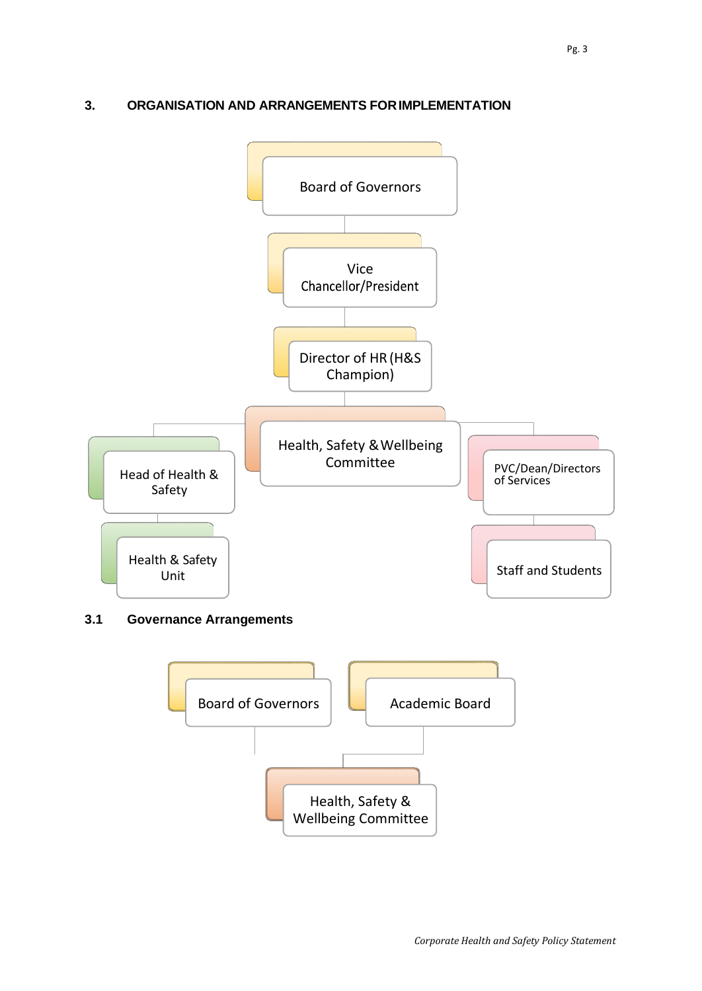# **3. ORGANISATION AND ARRANGEMENTS FORIMPLEMENTATION**



### **3.1 Governance Arrangements**

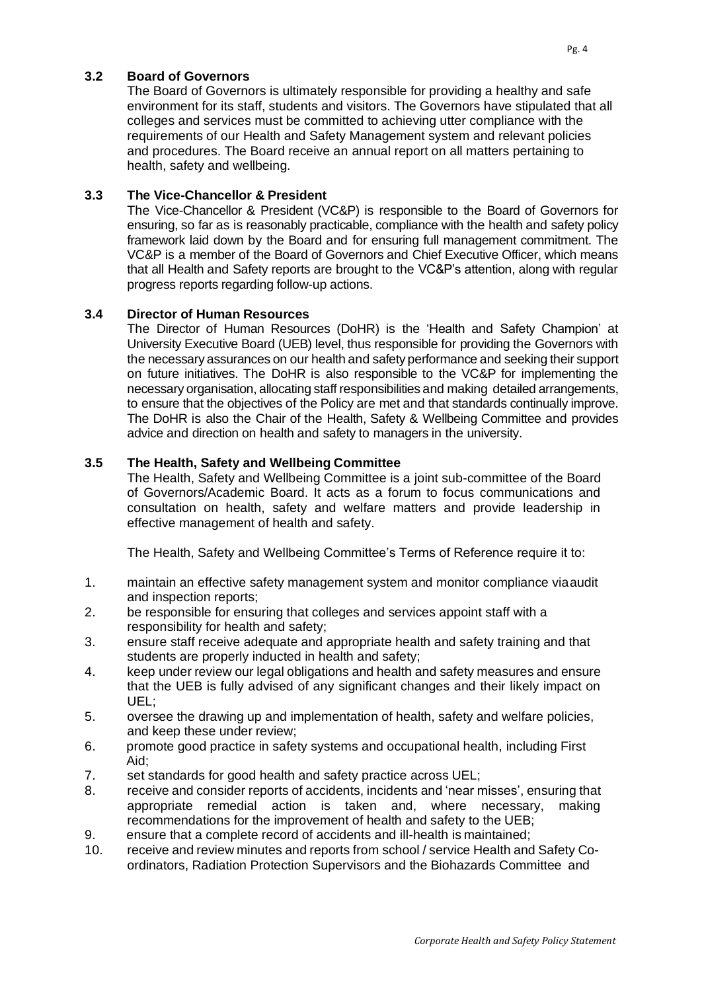# **3.2 Board of Governors**

The Board of Governors is ultimately responsible for providing a healthy and safe environment for its staff, students and visitors. The Governors have stipulated that all colleges and services must be committed to achieving utter compliance with the requirements of our Health and Safety Management system and relevant policies and procedures. The Board receive an annual report on all matters pertaining to health, safety and wellbeing.

# **3.3 The Vice-Chancellor & President**

The Vice-Chancellor & President (VC&P) is responsible to the Board of Governors for ensuring, so far as is reasonably practicable, compliance with the health and safety policy framework laid down by the Board and for ensuring full management commitment. The VC&P is a member of the Board of Governors and Chief Executive Officer, which means that all Health and Safety reports are brought to the VC&P's attention, along with regular progress reports regarding follow-up actions.

# **3.4 Director of Human Resources**

The Director of Human Resources (DoHR) is the 'Health and Safety Champion' at University Executive Board (UEB) level, thus responsible for providing the Governors with the necessary assurances on our health and safety performance and seeking their support on future initiatives. The DoHR is also responsible to the VC&P for implementing the necessary organisation, allocating staff responsibilities and making detailed arrangements, to ensure that the objectives of the Policy are met and that standards continually improve. The DoHR is also the Chair of the Health, Safety & Wellbeing Committee and provides advice and direction on health and safety to managers in the university.

# **3.5 The Health, Safety and Wellbeing Committee**

The Health, Safety and Wellbeing Committee is a joint sub-committee of the Board of Governors/Academic Board. It acts as a forum to focus communications and consultation on health, safety and welfare matters and provide leadership in effective management of health and safety.

The Health, Safety and Wellbeing Committee's Terms of Reference require it to:

- 1. maintain an effective safety management system and monitor compliance viaaudit and inspection reports;
- 2. be responsible for ensuring that colleges and services appoint staff with a responsibility for health and safety;
- 3. ensure staff receive adequate and appropriate health and safety training and that students are properly inducted in health and safety;
- 4. keep under review our legal obligations and health and safety measures and ensure that the UEB is fully advised of any significant changes and their likely impact on UEL;
- 5. oversee the drawing up and implementation of health, safety and welfare policies, and keep these under review;
- 6. promote good practice in safety systems and occupational health, including First Aid;
- 7. set standards for good health and safety practice across UEL;
- 8. receive and consider reports of accidents, incidents and 'near misses', ensuring that appropriate remedial action is taken and, where necessary, making recommendations for the improvement of health and safety to the UEB;
- 9. ensure that a complete record of accidents and ill-health is maintained;
- 10. receive and review minutes and reports from school / service Health and Safety Coordinators, Radiation Protection Supervisors and the Biohazards Committee and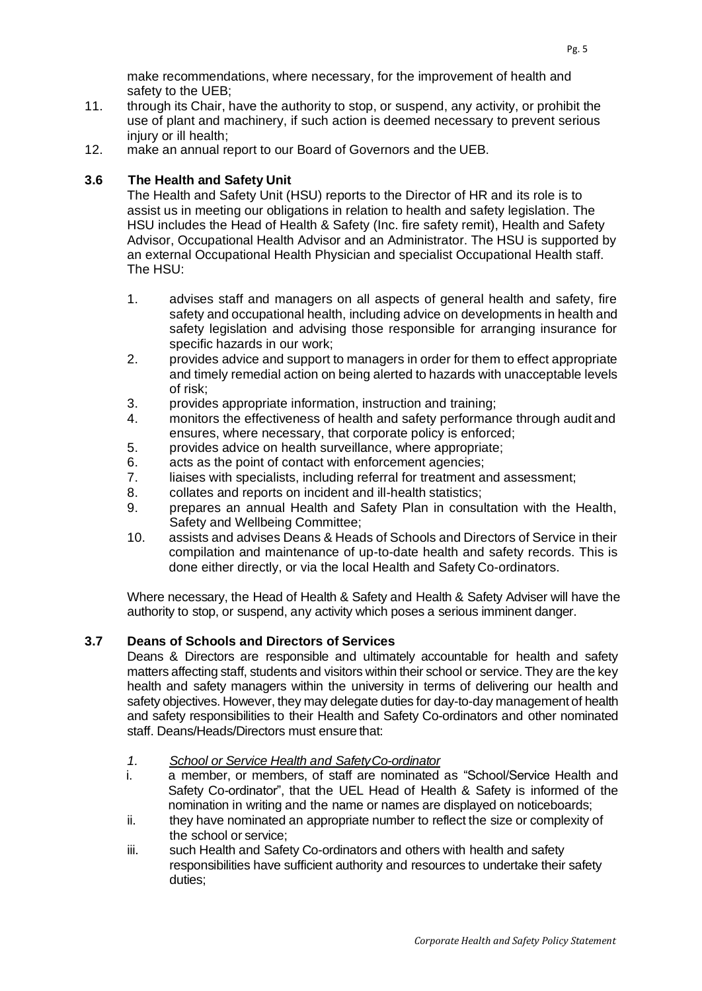- 11. through its Chair, have the authority to stop, or suspend, any activity, or prohibit the use of plant and machinery, if such action is deemed necessary to prevent serious injury or ill health:
- 12. make an annual report to our Board of Governors and the UEB.

# **3.6 The Health and Safety Unit**

The Health and Safety Unit (HSU) reports to the Director of HR and its role is to assist us in meeting our obligations in relation to health and safety legislation. The HSU includes the Head of Health & Safety (Inc. fire safety remit), Health and Safety Advisor, Occupational Health Advisor and an Administrator. The HSU is supported by an external Occupational Health Physician and specialist Occupational Health staff. The HSU:

- 1. advises staff and managers on all aspects of general health and safety, fire safety and occupational health, including advice on developments in health and safety legislation and advising those responsible for arranging insurance for specific hazards in our work;
- 2. provides advice and support to managers in order for them to effect appropriate and timely remedial action on being alerted to hazards with unacceptable levels of risk;
- 3. provides appropriate information, instruction and training;
- 4. monitors the effectiveness of health and safety performance through audit and ensures, where necessary, that corporate policy is enforced;
- 5. provides advice on health surveillance, where appropriate;
- 6. acts as the point of contact with enforcement agencies;
- 7. liaises with specialists, including referral for treatment and assessment;
- 8. collates and reports on incident and ill-health statistics;
- 9. prepares an annual Health and Safety Plan in consultation with the Health, Safety and Wellbeing Committee;
- 10. assists and advises Deans & Heads of Schools and Directors of Service in their compilation and maintenance of up-to-date health and safety records. This is done either directly, or via the local Health and Safety Co-ordinators.

Where necessary, the Head of Health & Safety and Health & Safety Adviser will have the authority to stop, or suspend, any activity which poses a serious imminent danger.

# **3.7 Deans of Schools and Directors of Services**

Deans & Directors are responsible and ultimately accountable for health and safety matters affecting staff, students and visitors within their school or service. They are the key health and safety managers within the university in terms of delivering our health and safety objectives. However, they may delegate duties for day-to-day management of health and safety responsibilities to their Health and Safety Co-ordinators and other nominated staff. Deans/Heads/Directors must ensure that:

- *1. School or Service Health and SafetyCo-ordinator*
- i. a member, or members, of staff are nominated as "School/Service Health and Safety Co-ordinator", that the UEL Head of Health & Safety is informed of the nomination in writing and the name or names are displayed on noticeboards;
- ii. they have nominated an appropriate number to reflect the size or complexity of the school or service;
- iii. such Health and Safety Co-ordinators and others with health and safety responsibilities have sufficient authority and resources to undertake their safety duties;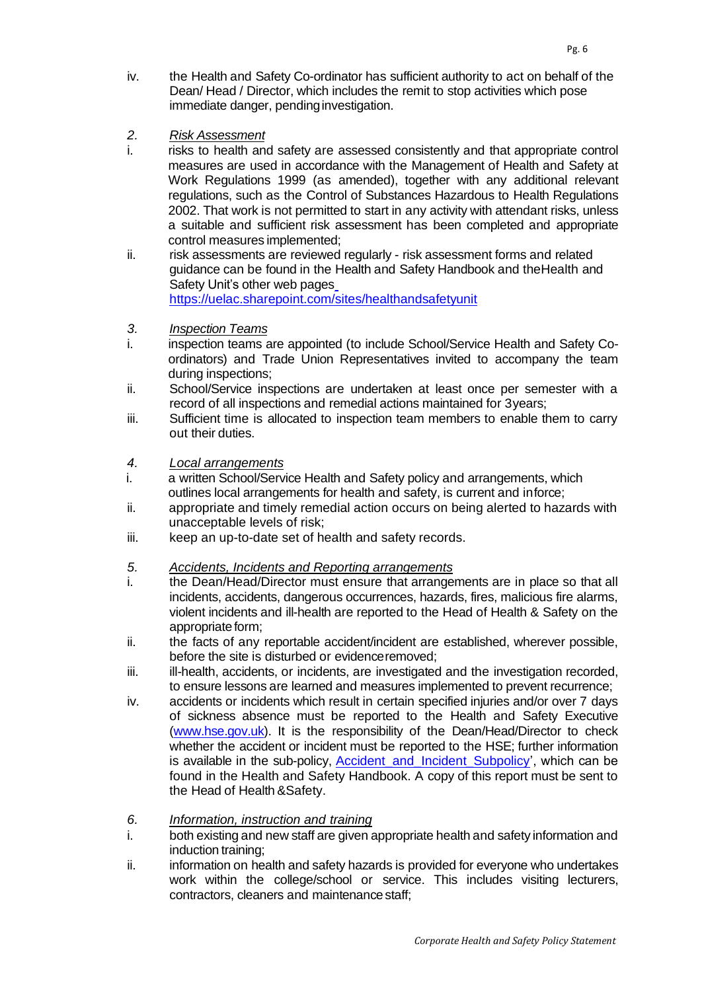- iv. the Health and Safety Co-ordinator has sufficient authority to act on behalf of the Dean/ Head / Director, which includes the remit to stop activities which pose immediate danger, pending investigation.
- *2. Risk Assessment*
- i. risks to health and safety are assessed consistently and that appropriate control measures are used in accordance with the Management of Health and Safety at Work Regulations 1999 (as amended), together with any additional relevant regulations, such as the Control of Substances Hazardous to Health Regulations 2002. That work is not permitted to start in any activity with attendant risks, unless a suitable and sufficient risk assessment has been completed and appropriate control measures implemented;
- ii. risk assessments are reviewed regularly risk assessment forms and related guidance can be found in the Health and Safety Handbook and theHealth and Safety Unit's other web pages [https://uelac.sharepoint.com/sites/healthandsafetyunit](https://uelac.sharepoint.com/sites/healthandsafetyunit/)
- *3. Inspection Teams*
- i. inspection teams are appointed (to include School/Service Health and Safety Coordinators) and Trade Union Representatives invited to accompany the team during inspections;
- ii. School/Service inspections are undertaken at least once per semester with a record of all inspections and remedial actions maintained for 3years;
- iii. Sufficient time is allocated to inspection team members to enable them to carry out their duties.
- *4. Local arrangements*
- i. a written School/Service Health and Safety policy and arrangements, which outlines local arrangements for health and safety, is current and inforce;
- ii. appropriate and timely remedial action occurs on being alerted to hazards with unacceptable levels of risk;
- iii. keep an up-to-date set of health and safety records.
- *5. Accidents, Incidents and Reporting arrangements*
- i. the Dean/Head/Director must ensure that arrangements are in place so that all incidents, accidents, dangerous occurrences, hazards, fires, malicious fire alarms, violent incidents and ill-health are reported to the Head of Health & Safety on the appropriate form;
- ii. the facts of any reportable accident/incident are established, wherever possible, before the site is disturbed or evidenceremoved;
- iii. ill-health, accidents, or incidents, are investigated and the investigation recorded, to ensure lessons are learned and measures implemented to prevent recurrence;
- iv. accidents or incidents which result in certain specified injuries and/or over 7 days of sickness absence must be reported to the Health and Safety Executive [\(www.hse.gov.uk\)](http://www.hse.gov.uk/). It is the responsibility of the Dean/Head/Director to check whether the accident or incident must be reported to the HSE; further information is available in the sub-policy, **Accident\_and\_Incident\_Subpolicy'**, which can be found in the Health and Safety Handbook. A copy of this report must be sent to the Head of Health &Safety.
- *6. Information, instruction and training*
- i. both existing and new staff are given appropriate health and safety information and induction training;
- ii. information on health and safety hazards is provided for everyone who undertakes work within the college/school or service. This includes visiting lecturers, contractors, cleaners and maintenance staff: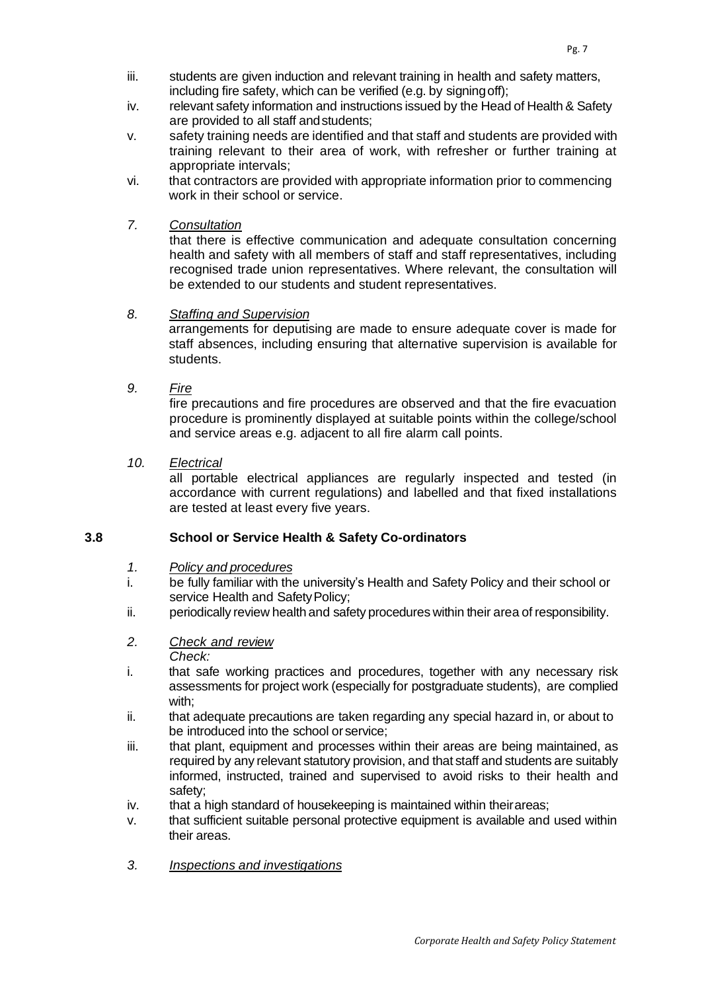- iii. students are given induction and relevant training in health and safety matters, including fire safety, which can be verified (e.g. by signing off);
- iv. relevant safety information and instructions issued by the Head of Health & Safety are provided to all staff andstudents;
- v. safety training needs are identified and that staff and students are provided with training relevant to their area of work, with refresher or further training at appropriate intervals;
- vi. that contractors are provided with appropriate information prior to commencing work in their school or service.

#### *7. Consultation*

that there is effective communication and adequate consultation concerning health and safety with all members of staff and staff representatives, including recognised trade union representatives. Where relevant, the consultation will be extended to our students and student representatives.

#### *8. Staffing and Supervision*

arrangements for deputising are made to ensure adequate cover is made for staff absences, including ensuring that alternative supervision is available for students.

#### *9. Fire*

fire precautions and fire procedures are observed and that the fire evacuation procedure is prominently displayed at suitable points within the college/school and service areas e.g. adjacent to all fire alarm call points.

*10. Electrical*

all portable electrical appliances are regularly inspected and tested (in accordance with current regulations) and labelled and that fixed installations are tested at least every five years.

#### **3.8 School or Service Health & Safety Co-ordinators**

#### *1. Policy and procedures*

- i. be fully familiar with the university's Health and Safety Policy and their school or service Health and Safety Policy;
- ii. periodically review health and safety procedures within their area of responsibility.
- *2. Check and review Check:*
- i. that safe working practices and procedures, together with any necessary risk assessments for project work (especially for postgraduate students), are complied with;
- ii. that adequate precautions are taken regarding any special hazard in, or about to be introduced into the school orservice;
- iii. that plant, equipment and processes within their areas are being maintained, as required by any relevant statutory provision, and that staff and students are suitably informed, instructed, trained and supervised to avoid risks to their health and safety;
- iv. that a high standard of housekeeping is maintained within their areas;
- v. that sufficient suitable personal protective equipment is available and used within their areas.
- *3. Inspections and investigations*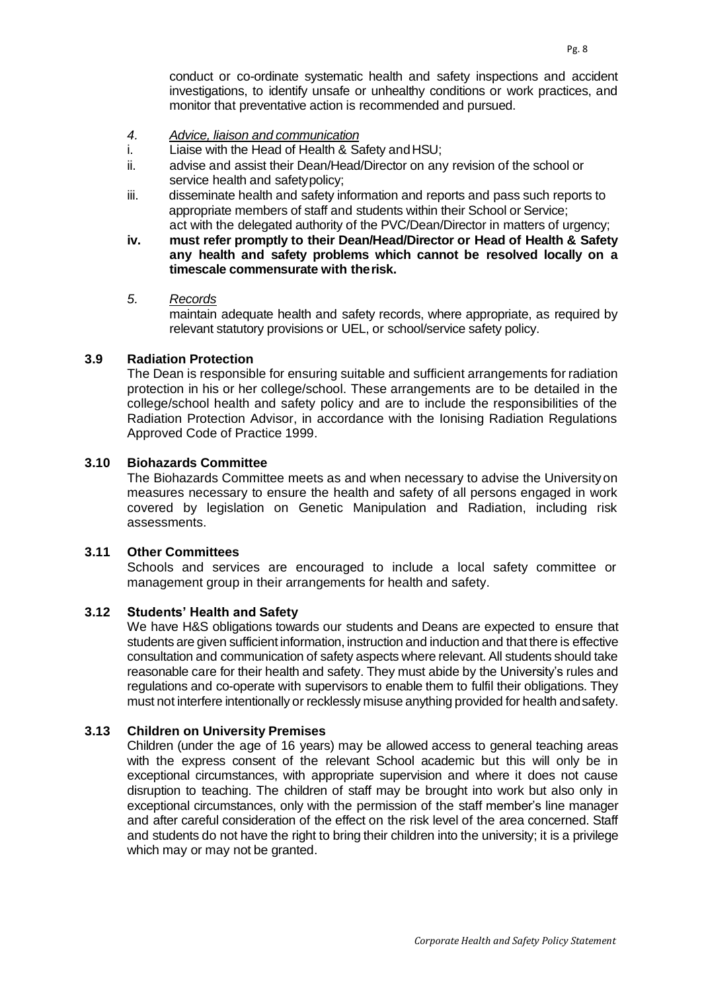conduct or co-ordinate systematic health and safety inspections and accident investigations, to identify unsafe or unhealthy conditions or work practices, and monitor that preventative action is recommended and pursued.

- *4. Advice, liaison and communication*
- i. Liaise with the Head of Health & Safety and HSU;
- ii. advise and assist their Dean/Head/Director on any revision of the school or service health and safetypolicy;
- iii. disseminate health and safety information and reports and pass such reports to appropriate members of staff and students within their School or Service; act with the delegated authority of the PVC/Dean/Director in matters of urgency;
- **iv. must refer promptly to their Dean/Head/Director or Head of Health & Safety any health and safety problems which cannot be resolved locally on a timescale commensurate with therisk.**
- *5. Records*

maintain adequate health and safety records, where appropriate, as required by relevant statutory provisions or UEL, or school/service safety policy.

#### **3.9 Radiation Protection**

The Dean is responsible for ensuring suitable and sufficient arrangements for radiation protection in his or her college/school. These arrangements are to be detailed in the college/school health and safety policy and are to include the responsibilities of the Radiation Protection Advisor, in accordance with the Ionising Radiation Regulations Approved Code of Practice 1999.

#### **3.10 Biohazards Committee**

The Biohazards Committee meets as and when necessary to advise the Universityon measures necessary to ensure the health and safety of all persons engaged in work covered by legislation on Genetic Manipulation and Radiation, including risk assessments.

#### **3.11 Other Committees**

Schools and services are encouraged to include a local safety committee or management group in their arrangements for health and safety.

#### **3.12 Students' Health and Safety**

We have H&S obligations towards our students and Deans are expected to ensure that students are given sufficient information, instruction and induction and that there is effective consultation and communication of safety aspects where relevant. All students should take reasonable care for their health and safety. They must abide by the University's rules and regulations and co-operate with supervisors to enable them to fulfil their obligations. They must not interfere intentionally or recklessly misuse anything provided for health andsafety.

#### **3.13 Children on University Premises**

Children (under the age of 16 years) may be allowed access to general teaching areas with the express consent of the relevant School academic but this will only be in exceptional circumstances, with appropriate supervision and where it does not cause disruption to teaching. The children of staff may be brought into work but also only in exceptional circumstances, only with the permission of the staff member's line manager and after careful consideration of the effect on the risk level of the area concerned. Staff and students do not have the right to bring their children into the university; it is a privilege which may or may not be granted.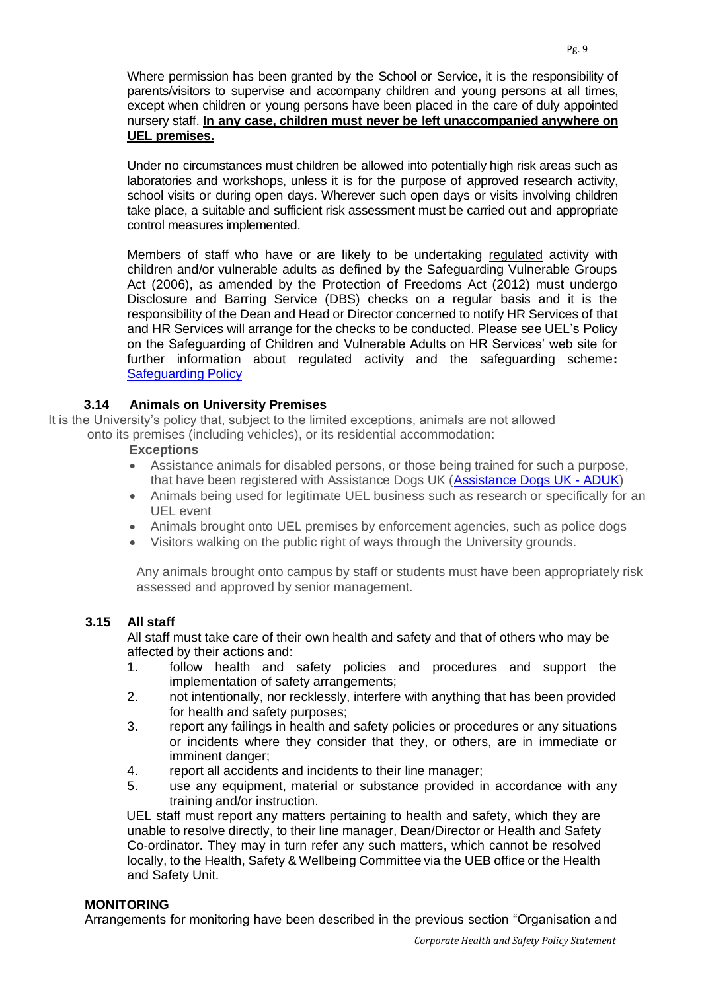Where permission has been granted by the School or Service, it is the responsibility of parents/visitors to supervise and accompany children and young persons at all times, except when children or young persons have been placed in the care of duly appointed nursery staff. **In any case, children must never be left unaccompanied anywhere on UEL premises.**

Under no circumstances must children be allowed into potentially high risk areas such as laboratories and workshops, unless it is for the purpose of approved research activity, school visits or during open days. Wherever such open days or visits involving children take place, a suitable and sufficient risk assessment must be carried out and appropriate control measures implemented.

Members of staff who have or are likely to be undertaking regulated activity with children and/or vulnerable adults as defined by the Safeguarding Vulnerable Groups Act (2006), as amended by the Protection of Freedoms Act (2012) must undergo Disclosure and Barring Service (DBS) checks on a regular basis and it is the responsibility of the Dean and Head or Director concerned to notify HR Services of that and HR Services will arrange for the checks to be conducted. Please see UEL's Policy on the Safeguarding of Children and Vulnerable Adults on HR Services' web site for further information about regulated activity and the safeguarding scheme**:**  [Safeguarding](https://uelac.sharepoint.com/sites/hr/Shared%20Documents/Forms/AllItems.aspx?id=%2Fsites%2Fhr%2FShared%20Documents%2FPolicies%202020%2FSafeguarding%20Policy%20June%202016%2Epdf&%3Bparent=%2Fsites%2Fhr%2FShared%20Documents%2FPolicies%202020) Policy

# **3.14 Animals on University Premises**

It is the University's policy that, subject to the limited exceptions, animals are not allowed onto its premises (including vehicles), or its residential accommodation:

#### **Exceptions**

- Assistance animals for disabled persons, or those being trained for such a purpose, that have been registered with Assistance Dogs UK [\(Assistance Dogs UK -](https://www.assistancedogs.org.uk/) ADUK)
- Animals being used for legitimate UEL business such as research or specifically for an UEL event
- Animals brought onto UEL premises by enforcement agencies, such as police dogs
- Visitors walking on the public right of ways through the University grounds.

 Any animals brought onto campus by staff or students must have been appropriately risk assessed and approved by senior management.

#### **3.15 All staff**

All staff must take care of their own health and safety and that of others who may be affected by their actions and:

- 1. follow health and safety policies and procedures and support the implementation of safety arrangements;
- 2. not intentionally, nor recklessly, interfere with anything that has been provided for health and safety purposes;
- 3. report any failings in health and safety policies or procedures or any situations or incidents where they consider that they, or others, are in immediate or imminent danger;
- 4. report all accidents and incidents to their line manager;
- 5. use any equipment, material or substance provided in accordance with any training and/or instruction.

UEL staff must report any matters pertaining to health and safety, which they are unable to resolve directly, to their line manager, Dean/Director or Health and Safety Co-ordinator. They may in turn refer any such matters, which cannot be resolved locally, to the Health, Safety & Wellbeing Committee via the UEB office or the Health and Safety Unit.

#### **MONITORING**

Arrangements for monitoring have been described in the previous section "Organisation and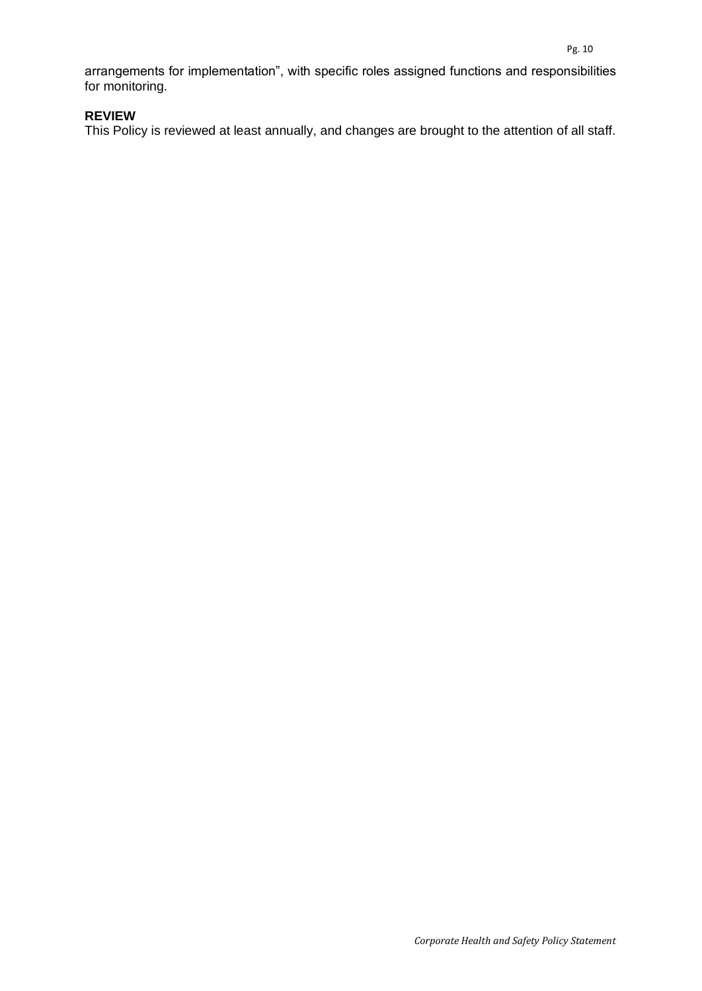arrangements for implementation", with specific roles assigned functions and responsibilities for monitoring.

# **REVIEW**

This Policy is reviewed at least annually, and changes are brought to the attention of all staff.